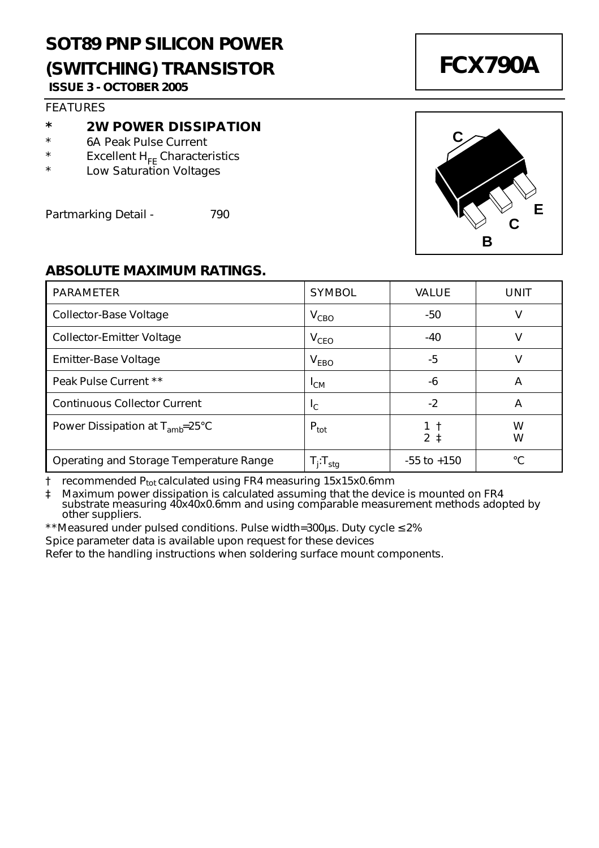## **SOT89 PNP SILICON POWER (SWITCHING) TRANSISTOR ISSUE 3 - OCTOBER 2005**

#### **FFATURES**

#### **\* 2W POWER DISSIPATION**

- \* 6A Peak Pulse Current
- \* Excellent  $H_{FE}$  Characteristics
- Low Saturation Voltages

Partmarking Detail - 790

## **FCX790A**



#### **ABSOLUTE MAXIMUM RATINGS.**

| PARAMETER                                     | <b>SYMBOL</b>     | VALUE                 | UNIT   |
|-----------------------------------------------|-------------------|-----------------------|--------|
| Collector-Base Voltage                        | $V_{CBO}$         | -50                   | ν      |
| Collector-Emitter Voltage                     | $V_{CFO}$         | $-40$                 | ν      |
| Emitter-Base Voltage                          | V <sub>FBO</sub>  | -5                    | ν      |
| Peak Pulse Current **                         | $L_{CM}$          | -6                    | A      |
| Continuous Collector Current                  | I <sub>C</sub>    | -2                    | A      |
| Power Dissipation at $T_{amb} = 25^{\circ}$ C | $P_{\text{tot}}$  | 1 t<br>2 <sub>1</sub> | W<br>w |
| Operating and Storage Temperature Range       | $T_i$ : $T_{sta}$ | $-55$ to $+150$       | °C     |

† recommended Ptot calculated using FR4 measuring 15x15x0.6mm

‡ Maximum power dissipation is calculated assuming that the device is mounted on FR4 substrate measuring 40x40x0.6mm and using comparable measurement methods adopted by other suppliers.

\*\*Measured under pulsed conditions. Pulse width=300µs. Duty cycle ≤ 2%

Spice parameter data is available upon request for these devices

Refer to the handling instructions when soldering surface mount components.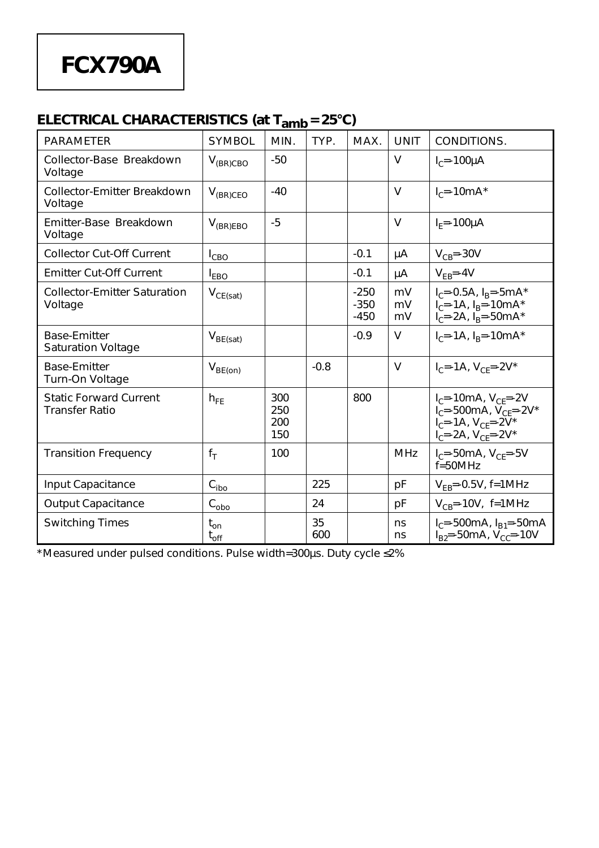# **FCX790A**

## **ELECTRICAL CHARACTERISTICS (at Tamb = 25°C)**

| <b>PARAMETER</b>                                       | <b>SYMBOL</b>                         | MIN.                     | TYP.      | MAX.                       | <b>UNIT</b>    | CONDITIONS.                                                                                                                                 |
|--------------------------------------------------------|---------------------------------------|--------------------------|-----------|----------------------------|----------------|---------------------------------------------------------------------------------------------------------------------------------------------|
| Collector-Base Breakdown<br>Voltage                    | $V_{(BR)CBO}$                         | $-50$                    |           |                            | $\vee$         | $I_{c}$ =-100 $\mu$ A                                                                                                                       |
| Collector-Emitter Breakdown<br>Voltage                 | $V_{(BR)CEO}$                         | $-40$                    |           |                            | $\vee$         | $I_{c}$ =-10mA*                                                                                                                             |
| Emitter-Base Breakdown<br>Voltage                      | $V_{(BR)EBO}$                         | $-5$                     |           |                            | $\vee$         | $IF=-100UA$                                                                                                                                 |
| <b>Collector Cut-Off Current</b>                       | $I_{CBO}$                             |                          |           | $-0.1$                     | μA             | $V_{CB} = -30V$                                                                                                                             |
| <b>Emitter Cut-Off Current</b>                         | $I_{FBO}$                             |                          |           | $-0.1$                     | μA             | $V_{FB} = -4V$                                                                                                                              |
| <b>Collector-Emitter Saturation</b><br>Voltage         | $V_{CE(sat)}$                         |                          |           | $-250$<br>$-350$<br>$-450$ | mV<br>mV<br>mV | $I_C = -0.5A$ , $I_R = -5mA^*$<br>$I_C = -1A$ , $I_R = -10mA^*$<br>$I_C = -2A$ , $I_B = -50mA*$                                             |
| <b>Base-Emitter</b><br><b>Saturation Voltage</b>       | $V_{BE(sat)}$                         |                          |           | $-0.9$                     | v              | $I_C = -1A$ , $I_B = -10mA^*$                                                                                                               |
| <b>Base-Emitter</b><br>Turn-On Voltage                 | $V_{BE(on)}$                          |                          | $-0.8$    |                            | $\vee$         | $I_C = -1A$ , $V_{CF} = -2V^*$                                                                                                              |
| <b>Static Forward Current</b><br><b>Transfer Ratio</b> | $h_{FE}$                              | 300<br>250<br>200<br>150 |           | 800                        |                | $I_C = -10mA$ , $V_{CF} = -2V$<br>$I_C = -500mA$ , $V_{CF} = -2V^*$<br>$I_{C} = -1A$ , $V_{CF} = -2V^*$<br>$I_{C} = -2A$ , $V_{CF} = -2V^*$ |
| <b>Transition Frequency</b>                            | $f_T$                                 | 100                      |           |                            | <b>MHz</b>     | $I_{C} = -50mA$ , $V_{CF} = -5V$<br>$f = 50MHz$                                                                                             |
| Input Capacitance                                      | $\mathrm{C}_{\text{ibo}}$             |                          | 225       |                            | рF             | $V_{FB}$ =-0.5V, f=1MHz                                                                                                                     |
| <b>Output Capacitance</b>                              | $\texttt{C}_{\underline{\text{obo}}}$ |                          | 24        |                            | pF             | $V_{CB} = -10V$ , f=1MHz                                                                                                                    |
| <b>Switching Times</b>                                 | $t_{on}$<br>$t_{off}$                 |                          | 35<br>600 |                            | ns<br>ns       | $I_{C} = -500mA$ , $I_{B1} = -50mA$<br>$I_{B2} = -50mA$ , $V_{C2} = -10V$                                                                   |

\*Measured under pulsed conditions. Pulse width=300µs. Duty cycle ≤2%